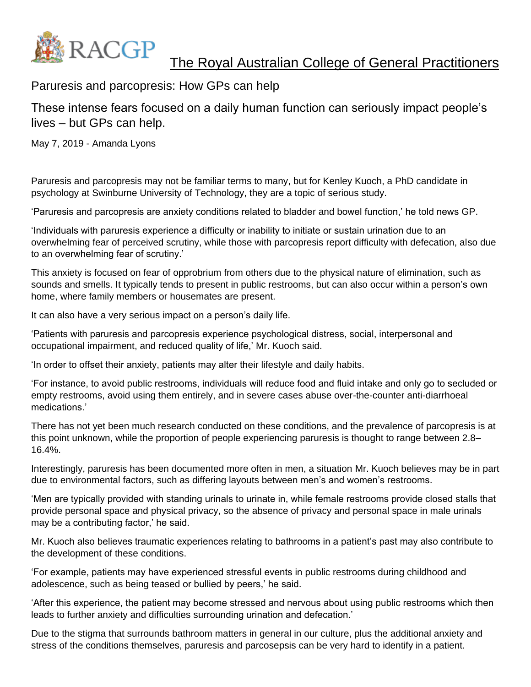

Paruresis and parcopresis: How GPs can help

These intense fears focused on a daily human function can seriously impact people's lives – but GPs can help.

May 7, 2019 - Amanda Lyons

Paruresis and parcopresis may not be familiar terms to many, but for Kenley Kuoch, a PhD candidate in psychology at Swinburne University of Technology, they are a topic of serious study.

'Paruresis and parcopresis are anxiety conditions related to bladder and bowel function,' he told news GP.

'Individuals with paruresis experience a difficulty or inability to initiate or sustain urination due to an overwhelming fear of perceived scrutiny, while those with parcopresis report difficulty with defecation, also due to an overwhelming fear of scrutiny.'

This anxiety is focused on fear of opprobrium from others due to the physical nature of elimination, such as sounds and smells. It typically tends to present in public restrooms, but can also occur within a person's own home, where family members or housemates are present.

It can also have a very serious impact on a person's daily life.

'Patients with paruresis and parcopresis experience psychological distress, social, interpersonal and occupational impairment, and reduced quality of life,' Mr. Kuoch said.

'In order to offset their anxiety, patients may alter their lifestyle and daily habits.

'For instance, to avoid public restrooms, individuals will reduce food and fluid intake and only go to secluded or empty restrooms, avoid using them entirely, and in severe cases abuse over-the-counter anti-diarrhoeal medications.'

There has not yet been much research conducted on these conditions, and the prevalence of parcopresis is at this point unknown, while the proportion of people experiencing paruresis is thought to range between 2.8– 16.4%.

Interestingly, paruresis has been documented more often in men, a situation Mr. Kuoch believes may be in part due to environmental factors, such as differing layouts between men's and women's restrooms.

'Men are typically provided with standing urinals to urinate in, while female restrooms provide closed stalls that provide personal space and physical privacy, so the absence of privacy and personal space in male urinals may be a contributing factor,' he said.

Mr. Kuoch also believes traumatic experiences relating to bathrooms in a patient's past may also contribute to the development of these conditions.

'For example, patients may have experienced stressful events in public restrooms during childhood and adolescence, such as being teased or bullied by peers,' he said.

'After this experience, the patient may become stressed and nervous about using public restrooms which then leads to further anxiety and difficulties surrounding urination and defecation.'

Due to the stigma that surrounds bathroom matters in general in our culture, plus the additional anxiety and stress of the conditions themselves, paruresis and parcosepsis can be very hard to identify in a patient.